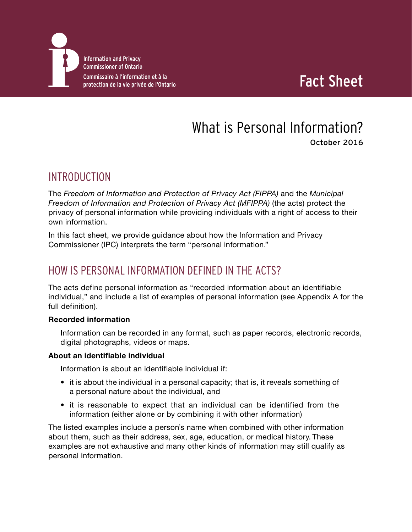

## Fact Sheet

# What is Personal Information?

October 2016

## INTRODUCTION

The *Freedom of Information and Protection of Privacy Act (FIPPA)* and the *Municipal Freedom of Information and Protection of Privacy Act (MFIPPA)* (the acts) protect the privacy of personal information while providing individuals with a right of access to their own information.

In this fact sheet, we provide guidance about how the Information and Privacy Commissioner (IPC) interprets the term "personal information."

## HOW IS PERSONAL INFORMATION DEFINED IN THE ACTS?

The acts define personal information as "recorded information about an identifiable individual," and include a list of examples of personal information (see Appendix A for the full definition).

#### **Recorded information**

Information can be recorded in any format, such as paper records, electronic records, digital photographs, videos or maps.

#### **About an identifiable individual**

Information is about an identifiable individual if:

- it is about the individual in a personal capacity; that is, it reveals something of a personal nature about the individual, and
- it is reasonable to expect that an individual can be identified from the information (either alone or by combining it with other information)

The listed examples include a person's name when combined with other information about them, such as their address, sex, age, education, or medical history. These examples are not exhaustive and many other kinds of information may still qualify as personal information.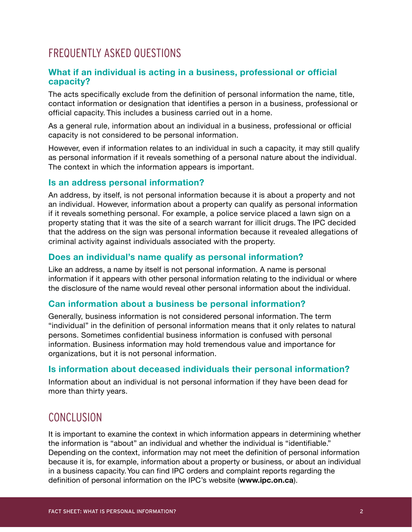## FREQUENTLY ASKED QUESTIONS

#### **What if an individual is acting in a business, professional or official capacity?**

The acts specifically exclude from the definition of personal information the name, title, contact information or designation that identifies a person in a business, professional or official capacity. This includes a business carried out in a home.

As a general rule, information about an individual in a business, professional or official capacity is not considered to be personal information.

However, even if information relates to an individual in such a capacity, it may still qualify as personal information if it reveals something of a personal nature about the individual. The context in which the information appears is important.

#### **Is an address personal information?**

An address, by itself, is not personal information because it is about a property and not an individual. However, information about a property can qualify as personal information if it reveals something personal. For example, a police service placed a lawn sign on a property stating that it was the site of a search warrant for illicit drugs. The IPC decided that the address on the sign was personal information because it revealed allegations of criminal activity against individuals associated with the property.

#### **Does an individual's name qualify as personal information?**

Like an address, a name by itself is not personal information. A name is personal information if it appears with other personal information relating to the individual or where the disclosure of the name would reveal other personal information about the individual.

#### **Can information about a business be personal information?**

Generally, business information is not considered personal information. The term "individual" in the definition of personal information means that it only relates to natural persons. Sometimes confidential business information is confused with personal information. Business information may hold tremendous value and importance for organizations, but it is not personal information.

#### **Is information about deceased individuals their personal information?**

Information about an individual is not personal information if they have been dead for more than thirty years.

### CONCLUSION

It is important to examine the context in which information appears in determining whether the information is "about" an individual and whether the individual is "identifiable." Depending on the context, information may not meet the definition of personal information because it is, for example, information about a property or business, or about an individual in a business capacity. You can find IPC orders and complaint reports regarding the definition of personal information on the IPC's website (**www.ipc.on.ca**).